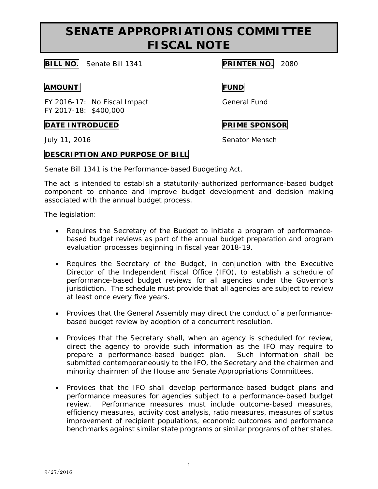# **SENATE APPROPRIATIONS COMMITTEE FISCAL NOTE**

## **BILL NO.** Senate Bill 1341 **PRINTER NO.** 2080

### **AMOUNT FUND**

FY 2016-17: No Fiscal Impact General Fund FY 2017-18: \$400,000

### **DATE INTRODUCED PRIME SPONSOR**

July 11, 2016 **Senator Mensch** 

## **DESCRIPTION AND PURPOSE OF BILL**

Senate Bill 1341 is the Performance-based Budgeting Act.

The act is intended to establish a statutorily-authorized performance-based budget component to enhance and improve budget development and decision making associated with the annual budget process.

The legislation:

- Requires the Secretary of the Budget to initiate a program of performancebased budget reviews as part of the annual budget preparation and program evaluation processes beginning in fiscal year 2018-19.
- Requires the Secretary of the Budget, in conjunction with the Executive Director of the Independent Fiscal Office (IFO), to establish a schedule of performance-based budget reviews for all agencies under the Governor's jurisdiction. The schedule must provide that all agencies are subject to review at least once every five years.
- Provides that the General Assembly may direct the conduct of a performancebased budget review by adoption of a concurrent resolution.
- Provides that the Secretary shall, when an agency is scheduled for review, direct the agency to provide such information as the IFO may require to prepare a performance-based budget plan. Such information shall be submitted contemporaneously to the IFO, the Secretary and the chairmen and minority chairmen of the House and Senate Appropriations Committees.
- Provides that the IFO shall develop performance-based budget plans and performance measures for agencies subject to a performance-based budget review. Performance measures must include outcome-based measures, efficiency measures, activity cost analysis, ratio measures, measures of status improvement of recipient populations, economic outcomes and performance benchmarks against similar state programs or similar programs of other states.